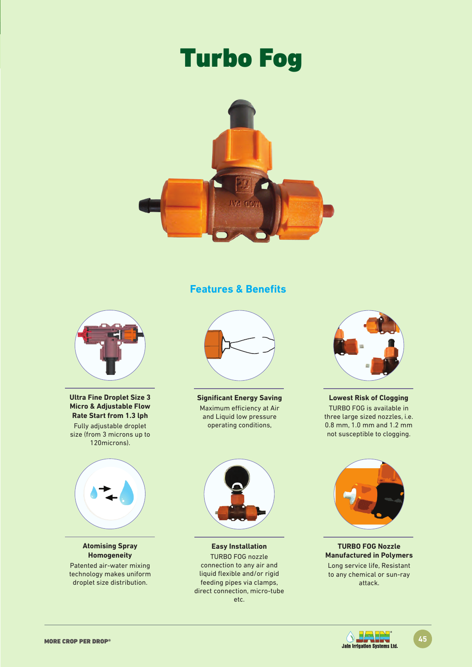# Turbo Fog



### **Features & Benefits**



**Ultra Fine Droplet Size 3 Micro & Adjustable Flow Rate Start from 1.3 lph** Fully adjustable droplet size (from 3 microns up to 120microns).



**Atomising Spray Homogeneity** Patented air-water mixing technology makes uniform droplet size distribution.



**Significant Energy Saving** Maximum efficiency at Air and Liquid low pressure operating conditions,



**Lowest Risk of Clogging** TURBO FOG is available in three large sized nozzles, i.e. 0.8 mm, 1.0 mm and 1.2 mm not susceptible to clogging.



**Easy Installation** TURBO FOG nozzle connection to any air and liquid flexible and/or rigid feeding pipes via clamps, direct connection, micro-tube etc.



**TURBO FOG Nozzle Manufactured in Polymers** Long service life, Resistant to any chemical or sun-ray attack.